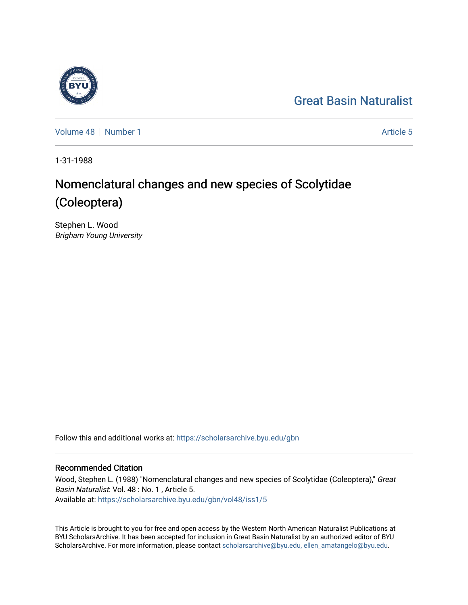## [Great Basin Naturalist](https://scholarsarchive.byu.edu/gbn)

[Volume 48](https://scholarsarchive.byu.edu/gbn/vol48) [Number 1](https://scholarsarchive.byu.edu/gbn/vol48/iss1) Article 5

1-31-1988

# Nomenclatural changes and new species of Scolytidae (Coleoptera)

Stephen L. Wood Brigham Young University

Follow this and additional works at: [https://scholarsarchive.byu.edu/gbn](https://scholarsarchive.byu.edu/gbn?utm_source=scholarsarchive.byu.edu%2Fgbn%2Fvol48%2Fiss1%2F5&utm_medium=PDF&utm_campaign=PDFCoverPages) 

## Recommended Citation

Wood, Stephen L. (1988) "Nomenclatural changes and new species of Scolytidae (Coleoptera)," Great Basin Naturalist: Vol. 48 : No. 1 , Article 5. Available at: [https://scholarsarchive.byu.edu/gbn/vol48/iss1/5](https://scholarsarchive.byu.edu/gbn/vol48/iss1/5?utm_source=scholarsarchive.byu.edu%2Fgbn%2Fvol48%2Fiss1%2F5&utm_medium=PDF&utm_campaign=PDFCoverPages)

This Article is brought to you for free and open access by the Western North American Naturalist Publications at BYU ScholarsArchive. It has been accepted for inclusion in Great Basin Naturalist by an authorized editor of BYU ScholarsArchive. For more information, please contact [scholarsarchive@byu.edu, ellen\\_amatangelo@byu.edu.](mailto:scholarsarchive@byu.edu,%20ellen_amatangelo@byu.edu)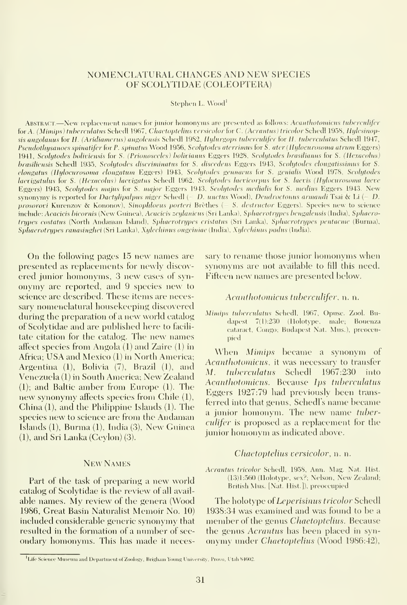## NOMENCLATURAL CHANGES AND NEW SPECIES OF SCOLYTIDAE (COLEOPTERA)

Stephen L. Wood

ABSTRACT.—New replacement names for junior homonyms are presented as follows: Acanthotomicus tuberculifer for A. (Mimips) tuberculatus Schedl 1967, Chaetoptelius versicolor for C. (Acrantus) tricolor Schedl 1958, Hylesinopsis angolanus for H. (Aridiamerus) angolensis Schedl 1982, Hylurgops tuberculifer for H. tuberculatus Schedl 1947, Pseudothysanoes spinatifer for P. spinatus Wood 1956, Scolytodes aterrimus for S. ater (Hylocurosoma atrum Eggers) 1941, Scolytodes boliviensis for S. (Prionosceles) bolivianus Eggers 1928, Scolytodes brasilianus for S. (Hexacolus) brasiliensis Schedl 1935, Scolytodes discriminatus for S. discedens Eggers 1943, Scolytodes clongatissimus for S. elongatus (Hylocurosoma elongatum Eggers) 1943, Scolytodes gennacus for S. genialis Wood 1978, Scolytodes laevigatulus for S. (Hexacolus) laevigatus Schedl 1962, Scolytodes laevicorpus for S. laevis (Hylocurosoma laeve Eggers) 1943, Scolytodes majus for S. major Eggers 1943, Scolytodcs medialis for S. medius Eggers 1943. New synonymy is reported for Dactylipalpus niger Schedl (= D. unctus Wood), Dendroctonus armandi Tsai & Li (= D. prosorovi Kurenzov & Kononov), Sinophloeus porteri Brethes (- S. destructor Eggers). Species new to science include: Acacicis bicornis (New Guinea), Acacicis zeylanicus (Sri Lanka), Sphaerotrypes bengalensis (India), Sphaerotnjpes costatus (North Andaman Island), Sphaerotrypes cristatus (Sri Lanka), Sphaerotrypes pentacme (Burma), Sphaerotrypes ranasinghei (Sri Lanka), Xylechinus ougciniac (India). Xylcchinus padus (India).

On the following pages <sup>15</sup> new names are presented as replacements for newly discovered junior homonyms, 3 new cases of synonymy are reported, and 9 species new to science are described. These items are necessary nomenclatural honsekeeping discovered during the preparation of a new world catalog of Scolytidae and are published here to facili tate citation for the catalog. The new names affect species from Angola (1) and Zaire (1) in Africa; USA and Mexico (1) in North America; Argentina (1), Bolivia (7), Brazil (1), and  $\frac{AC_0}{M}$ Venezuela (1) in South America; New Zealand (1); and Baltic amber from Eiuope (1). The new synonymy affects species from Chile (1), China (1), and the Philippine Islands (1). The species new to science are from the Andaman Islands (1), Burma (1), India (3), New Guinea (1), and Sri Lanka (Ceylon) (3).

#### New Names

Part of the task of preparing a new world catalog of Scolytidae is the review of all avail able names. My review of the genera (Wood 1986, Great Basin Naturalist Memoir No. 10) included considerable generic synonymy that resulted in the formation of a number of sec ondary homonyms. This has made it necessary to rename those junior homonyms when synonyms are not available to fill this need. Fifteen new names are presented below.

## Acanthotomicus tuberculifer, n. n.

Mimips tuberculatus Schedl, 1967, Opusc. Zool. Budapest 7(1):230 (Holotype, male; Bouenza cataract, C^ongo; Budapest Nat. Mus.), preoccupied

When Mimips became <sup>a</sup> synonym of Acanthotomicus, it was necessary to transfer tuberculatus Schedl 1967:230 into Acanthotomicus. Because Ips tuberculatus Eggers 1927:79 had previously been trans ferred into that genus, Schedl's name became <sup>a</sup> junior homonym. The new name tuberculifer is proposed as a replacement for the junior homonym as indicated above.

## Chaetoptelius versicolor, n. n.

Acrautus tricolor Schedl, 1958, Ann. Mag. Nat. Hist. (13)1;56() (Holotype, sex?; Nelson, New Zealand; British Mus. [Nat. Hist.]), preoccupied

The holotype of Leperisinus tricolor Schedl 1938:34 was examined and was found to be a member of the genus *Chaetoptelius*. Because the genus Acrantus has been placed in syn onymy under Chaetoptelius (Wood 1986:42),

<sup>&</sup>lt;sup>1</sup> Life Science Museum and Department of Zoology, Brigham Young University, Provo, Utah 84602.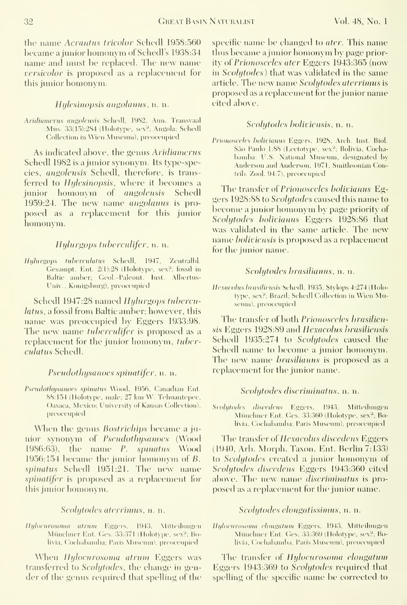the name Acrantus tricolor Schedl 1958:560 became a junior homonym of Schedl's 1938:34 name and must be replaced. The new name versicolor is proposed as a replacement for this junior homonym.

## Hylesinopsis angolanus, n. n.

Aridiamerus angolensis Schedl, 1982, Ann. Transvaal Mus. 33(15):284 (Holotype. sex?; Angola; Schedl Collection in Wien Museum), preoccupied

As indicated above, the genus Aridiamerus Schedl 1982 is a junior synonym. Its type-species, angolensis Schedl, therefore, is trans ferred to Hylesinopsis, where it becomes a junior homonym of angolensis Schedl 1959:24. The new name *angolanus* is proposed as a replacement for this junior homonym.

## Hylurgops tuberculifer, n. n.

Hylurgops tuberculatus Schedl, 1947, Zentralhl. Gesampt. Ent. 2(1):28 (Holotype, sex?; fossil in Baltic amber; Geol.-Paleont. Inst. Albertus-Univ., Konigsburg), preoccupied

Schedl 1947:28 named Hylurgops tuherculatus, a fossil from Baltic amber; however, this name was preoccupied by Eggers 1933:98. The new name *tuberculifer* is proposed as a replacement for the junior homonym, tuberculatus Schedl.

## Pseudothysanoes spinatifer, n. n.

Pseudothysanoes spinatus Wood, 1956, Canadian Ent. 88:154 (Holotype, male; 27 km W. Tehuantepec, Oaxaca, Mexico; University of Kansas Collection), preoccupied

When the genus Bostrichips became <sup>a</sup> junior synonym of Pseudothysanoes (Wood 1986:63), the name P. spinatus Wood 1956:  $154$  became the junior homonym of  $B$ . spinatus Schedl 1951:21. The new name spinatifer is proposed as a replacement for this junior homonym.

## Scolytodes aterrimus, n. n.

Ilylocurosoma atrum Eggers, 1943, Mitteilungen Münchner Ent. Ges. 33:371 (Holotype, sex?; Bolivia, Cochabamba; Paris Museum), preoccupied-

When Hylocurosoma atrum Eggers was transferred to Scolytodes, the change in gender of the genus required that spelling of the specific name be changed to *ater*. This name thus became <sup>a</sup>jimior homonym by page priority of Prionosceles ater Eggers 1943:365 (now in *Scolutodes*) that was validated in the same article. The new name Scolytodes aterrimus isproposed as a replacement for the jimior name cited above.

## Scolytodes holiviensis, n. n.

Prionosceles bolivianus Eggers, 1928, Arch. Inst. Biol. Sao Paulo 1;88 (Lectotype, sex?; Bolivia, Cocha bamba; U.S. National Museum, designated by Anderson and Anderson, 1971, Smithsonian Contrib. Zool. 94:7), preoccupied

The transfer of Prionosceles bolivianus Eggers 1928:88 to Scolytodes caused this name to become a junior homonym by page priority of Scolytodes bolivianus Eggers 1928:86 that was validated in the same article. The new name boliviensis is proposed as a replacement for the junior name.

#### Scolytodes brasilianus. n. n.

Hexacolus brasiliensis Schedl, 1935, Stylops 4:274 (Holotype, sex?; Brazil; Schedl Collection in Wien Museum), preoccupied

The transfer of both Prionosceles brasiliensis Eggers 1928:89 and Hexacolus brasiliensis Schedl 1935:274 to Scolytodes caused the Schedl name to become a junior homonym. The new name *brasilianus* is proposed as a replacement for the junior name.

## Scolutodes discriminatus, n. n.

Scolytodes discedens Eggers, 1943, Mitteilungen Münchner Ent. Ges. 33:360 (Holotype, sex?; Bolivia, Cochabamba; Paris Museum), preoccupied

The transfer of Hexacolus discedens Eggers (1940, Arb. Morph. Taxon. Ent. Berfin 7:133) to Scolytodes created a junior homonym of Scolytodes discedens Eggers 1943:360 cited above. The new name *discriminatus* is proposed as a replacement for the junior name.

## Scolytodes elongatissimus, n. n.

Hylocurosoma clongatum Eggers, 1943, Mitteilungen Münchner Ent. Ges. 33:369 (Holotype, sex?; Bolivia, Cochabamba. Paris Museum), preoccupied.

The transfer of Hylocurosoma elongatum Eggers 1943:369 to Scolytodes required that spelling of the specific name be corrected to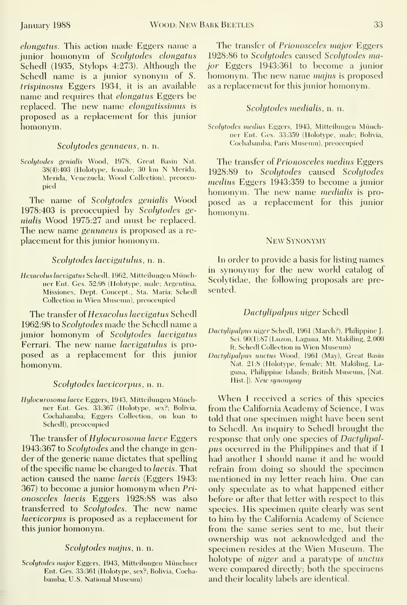elongatus. This action made Eggers name <sup>a</sup> junior homonym of Scolytodes elongatus Schedl (1935, Stylops 4:273). Although the Schedl name is <sup>a</sup> junior synonym of S. trispinosus Eggers 1934, it is an available name and requires that elongatus Eggers be replaced. The new name elongatissimus is proposed as a replacement for this junior homonym.

## Scolytodes gennaeus, n. n.

Scolytodes genialis Wood, 1978, Great Basin Nat. 38(4):403 (Holotype, female; 30 km N Merida, Merida, Venezuela; Wood Collection), preoccupied

The name of Scolytodes genialis Wood 1978:403 is preoccupied by Scolytodes genialis Wood 1975:27 and must be replaced. The new name gennaeus is proposed as a re placement for this junior homonym.

## Scolytodes laevigatulus, n. n.

Hexacolus laevigatus Schedl, 1962, Mitteilungen Münchner Ent. Ges. 52:98 (Holotype, male; Argentina, Missiones, Dept. Concept., Sta. Maria; Schedl Collection in Wien Museum), preoccupied

The transfer of Hexacolus laevigatus Schedl 1962:98 to Scolytodes made the Schedl name ajunior homonym of Scolytodes laevigatus Ferrari. The new name *laevigatulus* is proposed as a replacement for this junior homonym.

## Scolytodes laevicorpus, n. n.

Hylocurosoma laeve Eggers, 1943, Mitteilungen Münchner Ent. Ges. 33:367 (Holotype, sex?; Bolivia, Cochabamba; Eggers Collection, on loan to Schedl), preoccupied

The transfer of Hylocurosoma laeve Eggers 1943:367 to Scolytodes and the change in gender of the generic name dictates that spelling of the specific name be changed to laevis. That action caused the name laevis (Eggers 1943: 367) to become <sup>a</sup> junior homonym when Pri onosceles laevis Eggers 1928:88 was also transferred to Scolytodes. The new name laevicorpus is proposed as a replacement for this junior homonym.

## Scolytodes majus, n. n.

Scolytodes major Eggers, 1943, Mitteilungen Münchner Ent. Ges. 33:361 (Holotype, sex?; Bolivia, Cocha bamba; U.S. National Museum)

The transfer of Prionosceles major Eggers 1928:86 to Scolytodes caused Scolytodes major Eggers 1943:361 to become a junior homonym. The new name majus is proposed as a replacement for this junior homonym.

## Scolytodes medialis, n. n.

Scolytodes medius Eggers, 1943, Mitteilungen Miinchner Ent. Ges. 33:359 (Holotype, male; Bolivia, Cochabamba; Paris Museum), preoccupied

The transfer o{ Prionosceles medius Eggers 1928:89 to Scolytodes caused Scolytodes medius Eggers 1943:359 to become a junior homonym. The new name medialis is pro posed as a replacement for this junior homonym

#### New Synonymy

In order to provide a basis for listing names in synonymy for the new world catalog of Scolytidae, the following proposals are presented.

## Dactylipalpus niger Schedl

- Dactylipalpus niger Schedl, 1961 (March?), Philippine J. Sci. 90(1):87 (Luzon, Laguna, Mt. Makiling, 2,000 ft; Schedl Collection in Wien Museum)
- Dactylipalpus unctus Wood, 1961 (May), Great Basin Nat. 21:8 (Holotype, female; Mt. Makiling, La guna, Philippine Islands; British Museum, [Nat. Hist.]). New synonymy

When <sup>1</sup> received <sup>a</sup> series of this species from the California Academy of Science, <sup>I</sup> was told that one specimen might have been sent to Schedl. An inquiry to Schedl brought the response that only one species of *Dactylipal*pus occurred in the Philippines and that if <sup>I</sup> had another <sup>I</sup> should name it and he would refrain from doing so should the specimen mentioned in my letter reach him. One can only speculate as to what happened either before or after that letter with respect to this species. His specimen quite clearly was sent to him by the California Academy of Science from the same series sent to me, but their ownership was not acknowledged and the specimen resides at the Wien Museum. The holotype of *niger* and a paratype of *unctus* were compared directly; both the specimens and their locality labels are identical.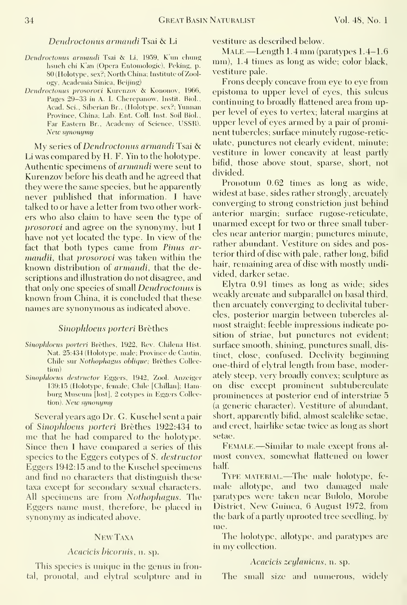## Dendroctonus armandi Tsai & Li

- Dendroctonus armandi Tsai & Li, 1959, K'un chung hsueh chi K'an (Opera Entomologic), Peking, p. 80 (Holotype, sex?; North China; Institute of Zoology, Academia Sinica, Beijing)
- Dendroctonus prosorovi Kurenzov & Kononov, 1966, Pages 29-33 in A. I. Cherepanow, Instit. Biol., Acad. Sci., Siberian Br., (Holotype, sex?; Yunnan Province, China; Lab. Ent. Coll. Inst. Soil Biol., Far Eastern Br., Academy of Science, USSR). New synonymy

My series of Dendroctonus armandi Tsai & Li was compared by H. F. Yin to the holotype. Authentic specimens of *armandi* were sent to Kurenzov before his death and he agreed that they were the same species, but he apparently never published that information. <sup>I</sup> have talked to or have a letter from two other workers who also claim to have seen the type of prosorovi and agree on the synonymy, but <sup>I</sup> have not yet located the type. In view of the fact that both types came from Pinus ar mandii, that *prosorovi* was taken within the known distribution of *armandi*, that the descriptions and illustration do not disagree, and that only one species of small *Dendroctonus* is known from China, it is concluded that these names are synonymous as indicated above.

## Sinophloeus porteri Brèthes

- Sinophloeus porteri Brèthes, 1922, Rev. Chilena Hist. Nat. 25:434 (Holotype, male; Province de Cautin, Chile sur Nothophagus oblique; Brèthes Collection)
- Sinophloeus destructor Eggers, 1942, Zool. Anzeiger 139:15 (Holotype. female; Chile [Chilian]; Hamburg Museum [lost], 2 cotypes in Eggers Collection). New synonymy

Several years ago Dr. G. Kuschel sent a pair of Sinophloeus porteri Brèthes 1922:434 to me that he had compared to the holotype. Since then 1 have compared a series of this species to the Eggers cotypes of S. destructor Eggers 1942:15 and to the Kuschel specimens and find no characters that distinguish these taxa except for secondary sexual characters. All specimens are from *Nothophagus*. The Eggers name must, therefore, be placed in synonymy as indicated above.

## NEW TAXA

#### Acacicis bicornis,  $\overline{\bf n}$ . sp.

This species is unique in the genus in frontal, pronotal, and elytral sculpture and in vestiture as described below.

 $MALE$ —Length 1.4 mm (paratypes 1.4–1.6) mm), 1.4 times as long as wide; color black, vestiture pale.

Frons deeply concave from eye to eye from epistoma to upper level of eyes, this sulcus continuing to broadly flattened area from up per level of eyes to vertex; lateral margins at upper level of eyes armed by a pair of prominent tubercles; surface minutely rugose-reticulate, punctures not clearly evident, minute; vestiture in lower concavity at least partly bifid, those above stout, sparse, short, not divided.

Pronotum 0.62 times as long as wide, widest at base, sides rather strongly, arcuately converging to strong constriction just behind anterior margin; surface rugose-reticulate, unarmed except for two or three small tubercles near anterior margin; punctures minute, rather abundant. Vestiture on sides and posterior third of disc with pale, rather long, bifid hair, remaining area of dise with mostly undivided, darker setae.

Elytra 0.91 times as long as wide; sides weakly arcuate and subparallel on basal third, then arcuately converging to declivital tubercles, posterior margin between tubercles al most straight; feeble impressions indicate position of striae, but punctures not evident; surface smooth, shining, punctures small, distinct, close, confused. Declivity beginning one-third of elytral length from base, moderately steep, very broadly convex; sculpture as on disc except prominent subtuberculate prominences at posterior end of interstriae 5 (a generic character). Vestiture of abundant, short, apparently bifid, almost scalelike setae, and erect, hairlike setae twice as long as short setae.

Female.—Similar to male except frons al most convex, somewhat flattened on lower half

TYPE MATERIAL.—The male holotype, female allotype, and two damaged male paratypes were taken near Bulolo, Morobe District, New Guinea, <sup>6</sup> August 1972, from the bark of a partly uprooted tree seedling, by me.

The holotype, allotype, and paratypes are in my collection.

#### Acacicis zeylanicus, n. sp.

The small size and numerous, widelv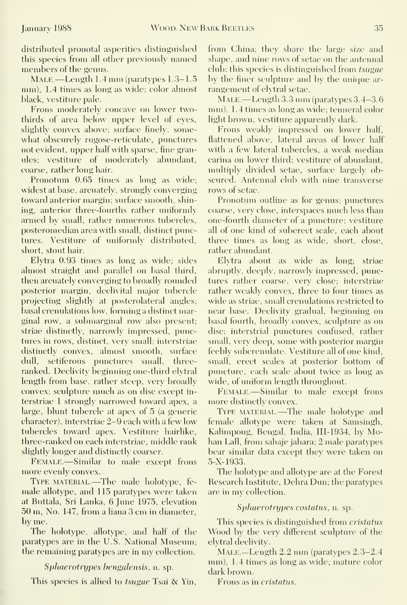distributed pronotal asperities distinguished this species from all other previously named members of the genus.

MALE — Length 1.4 mm (paratypes 1.3–1.5 mm), 1.4 times as long as wide; color almost black, vestiture pale.

Frons moderately concave on lower twothirds of area below upper level of eyes, slightly convex above; surface finely, some what obscurely rugose-reticulate, punctures not evident, upper half with sparse, fine granules; vestiture of moderately abundant, coarse, rather long hair.

Pronotum 0.65 times as long as wide; widest at base, arcuately, strongly converging toward anterior margin; surface smooth, shining, anterior three-fourths rather uniformly armed by small, rather numerous tubercles, posteromedian area with small, distinct punctures. Vestiture of uniformly distributed, short, stout hair.

Elytra 0.93 times as long as wide; sides almost straight and parallel on basal third, then arcuately converging to broadly rounded posterior margin, declivital major tubercle projecting slightly at posterolateral angles; basal crenulations low, forming a distinct marginal row, a submarginal row also present; striae distinctly, narrowly impressed, punctures in rows, distinct, very small; interstriae distinctly convex, almost smooth, surface dull, setiferous punctures small, threeranked. Declivity beginning one-third elytral length from base, rather steep, very broadly convex; sculpture much as on disc except in terstriae <sup>1</sup> strongly narrowed toward apex, a large, blunt tubercle at apex of 5 (a generic character), interstriae 2-9 each with a few low tubercles toward apex. Vestiture hairlike, three-ranked on each interstriae, middle rank slightly longer and distinctly coarser.

Female.—Similar to male except frons more evenly convex.

TYPE MATERIAL.—The male holotype, female allotype, and 115 paratypes were taken at Buttala, Sri Lanka, 6 June 1975, elevation 50 m. No. 147, from <sup>a</sup> liana 3 cm in diameter, by me.

The holotype, allotype, and half of the paratypes are in the U.S. National Museum; the remaining paratypes are in my collection.

## Sphaerotrypes bengalensis, n. sp.

This species is allied to *tsugae* Tsai & Yin,

from China; they share the large size and shape, and nine rows of setae on the antennal club; this species is distinguished from tsugae by the finer sculpture and by the unique ar rangement of elytral setae.

MALE.—Length 3.3 mm (paratypes 3.4-3.6 mm), 1.4 times as long as wide; tenneral color light brown, vestiture apparently dark.

Frons weakly impressed on lower half, flattened above, lateral areas of lower half with a few lateral tubercles, a weak median carina on lower third; vestiture of abundant, multiply divided setae, surface largely obscured. Antennal club with nine transverse rows of setae.

Pronotum outline as for genus; punctures coarse, very close, interspaces much less than one-fourth diameter of a puncture; vestiture all of one kind of suberect scale, each about three times as long as wide, short, close, rather abundant.

Elytra about as wide as long; striae abruptly, deeply, narrowly impressed, punctures rather coarse, very close; interstriae rather weakly convex, three to four times as wide as striae, small crenulations restricted to near base. Declivity gradual, beginning on basal fourth, broadly convex, sculpture as on disc; interstrial punctures confused, rather small, very deep, some with posterior margin feebly subcrenulate. Vestiture all of one kind, small, erect scales at posterior bottom of puncture, each scale about twice as long as wide, of uniform length throughout.

Female.—Similar to male except frons more distinctly convex.

TYPE MATERIAL.—The male holotype and female allotype were taken at Samsingh, Kalimpong, Bengal, India, III-1934, by Mohan Lall, from sahaje jahara; 2 male paratypes bear similar data except thev were taken on 5-X-1933.

The holotype and allotype are at the Forest Research Institute, Dehra Dun; the paratypes are in my collection.

## Sphaerotrypes costatus, n. sp.

This species is distinguished from *cristatus* Wood by the very different sculpture of the elytral declivity.

Male.—Length 2.2 mm (paratypes 2.3-2.4 mm), 1.4 times as long as wide; mature color dark brown.

Frons as in *cristatus*.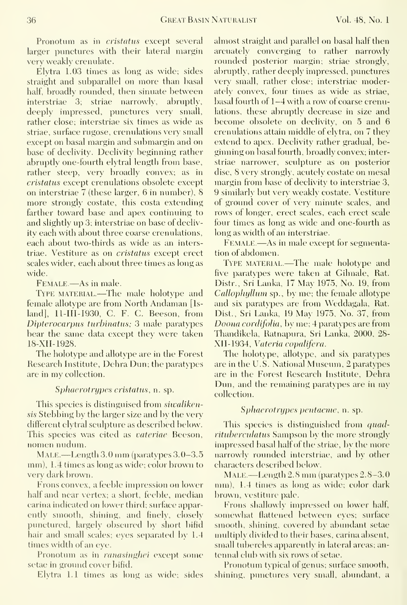Pronotum as in *cristatus* except several larger punctures with their lateral margin very weakly crenulate.

Elytra 1.03 times as long as wide; sides straight and subparallel on more than basal half, broadly rounded, then sinuate between interstriae 3; striae narrowly, abruptly, deeply impressed, punctures very small, rather close; interstriae six times as wide as striae, surface rugose, crenulations very small except on basal margin and submargin and on base of declivity. Declivity beginning rather abruptly one-fourth elytral length from base, rather steep, very broadly convex; as in cristatiis except crenulations obsolete except on interstriae 7 (these larger, 6 in number), S more strongly costate, this costa extending farther toward base and apex continuing to and slightly up 3; interstriae on base of declivity each with about three coarse crenulations, each about two-thirds as wide as an interstriae. Vestiture as on *cristatus* except erect scales wider, each about three times as long as wide.

FEMALE.—As in male.

TYPE MATERIAL.—The male holotype and female allotype are from North Andaman [Is land], 11-III-1930, C. F. C. Beeson, from Dipterocarpus turbinatus; 3 male paratypes bear the same data except thev were taken 18-XII-1928.

The holotype and allotype are in the Forest Research Institute, Dehra Dun; the paratypes are in my collection.

## Sphaerotrypes cristatus, n. sp.

This species is distinguised from *siwaliken*sis Stebbing by the larger size and by the very different elytral sculpture as described below. This species was cited as vateriae Beeson, nomen nudum.

MALE.—Length  $3.0 \text{ mm}$  (paratypes  $3.0-3.5$ ) mm), 1.4 times as long as wide; color brown to very dark brown.

Frons convex, a feeble impression on lower half and near vertex; a short, feeble, median carina indicated on lower third; surface apparently smooth, shining, and finely, closely punctured, largely obscured by short bifid hair and small scales; eyes separated by 1.4 times width of an eye.

Pronotum as in *ranasinghei* except some setae in ground cover bifid.

Elytra 1.1 times as long as wide; sides

almost straight and parallel on basal half then arcuately converging to rather narrowly rounded posterior margin; striae strongly, abruptly, rather deeply impressed, punctures very small, rather close; interstriae moderately convex, four times as wide as striae, basal fourth of 1-4 with a row of coarse crenulations, these abruptly decrease in size and become obsolete on declivity, on 5 and 6 crenulations attain middle of elytra, on 7 they extend to apex. Declivity rather gradual, beginning on basal fourth, broadly convex; interstriae narrower, sculpture as on posterior disc, 8 very strongly, acutely costate on mesal margin from base of declivity to interstriae 3, 9 similarly but very weakly costate. Vestiture of ground cover of very minute scales, and rows of longer, erect scales, each erect scale four times as long as wide and one-fourth as long as width of an interstriae.

FEMALE.—As in male except for segmentation of abdomen.

TYPE MATERIAL.—The male holotype and five paratvpes were taken at Gilmale, Rat. Distr., Sri Lanka, 17 May 1975, No. 19, from Callophyllum sp., by me; the female allotype and six paratvpes are from Weddagala, Rat. Dist., Sri Lanka, 19 May 1975, No. 37, from Doona cordifolia, by me; 4 paratypes are from Thandikela, Ratnapura, Sri Lanka, 2000, 28- XII-1934, Vateria copalifera.

The holotype, allotype, and six paratypes are in the U.S. National Museum, 2 paratypes are in the Forest Research Institute, Dehra Dun, and the remaining paratypes are in my collection.

## Sphaerotrypes pentacme, n. sp.

This species is distinguished from quadrituberculatus Sampson by the more strongly impressed basal half of the striae, by the more narrowly rounded interstriae, and by other characters described below.

MALE — Length  $2.8$  mm (paratypes  $2.8-3.0$ ) nun), 1.4 times as long as wide; color dark brown, vestiture pale.

Frons shallowly impressed on lower half, somewhat flattened between eyes; surface smooth, shining, covered by abundant setae multiply divided to their bases, carina absent, small tubercles apparently in lateral areas; antennal club with six rows of setae.

Pronotum typical of genus; surface smooth, shining, punctures very small, abundant, a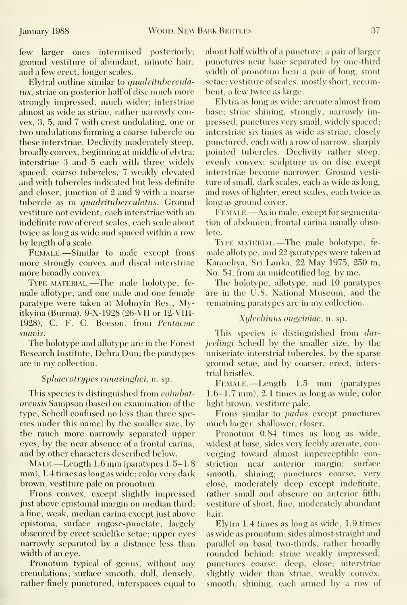few larger ones intermixed posteriorly; ground vestiture of abundant, minute hair, and a few erect, longer scales.

Elytral outline similar to quadrituberculatus, striae on posterior half of disc much more strongly impressed, much wider; interstriae almost as wide as striae, rather narrowly convex, 3, 5, and 7 with crest undulating, one or two undulations forming a coarse tubercle on these interstriae. Declivity moderately steep, broadly convex, beginning at middle of elytra; interstriae 3 and 5 each with three widely spaced, coarse tubercles, 7 weakly elevated and with tubercles indicated but less definite and closer, junction of 2 and 9 with a coarse tubercle as in quadrituberculatus. Ground vestiture not evident, each interstriae with an indefinite row of erect scales, each scale about twice as long as wide and spaced within a row by length of a scale.

Female.—Similar to male except frons more strongly convex and discal interstriae more broadly convex.

Type material.—The male holotype, fe male allotype, and one male and one female paratype were taken at Mohnyin Res., Myitkyina (Burma), 9-X-1928 (26-VII or 12-VIl'l- 1928), C. F. C. Beeson, from Pentacme suavis.

The holotype and allotype are in the Forest Research Institute, Dehra Dun; the paratypes are in my collection.

## Sphaerotrypes ranasinghei, n. sp.

This species is distinguished from *coimbat*orensis Sampson (based on examination of the type; Schedl confused no less than three species under this name) by the smaller size, by the much more narrowly separated upper eyes, by the near absence of a frontal carina, and by other characters described below.

MALE.—Length 1.6 mm (paratypes 1.5–1.8) mm), 1.4 times as long as wide; color very dark brown, vestiture pale on pronotum.

Frons convex, except slightly impressed just above epistomal margin on median third; a fine, weak, median carina except just above epistoma; surface rugose-punctate, largely obscured by erect scalelike setae; upper eyes narrowly separated by a distance less than width of an eye.

Pronotum typical of genus, without any crenulations; surface smooth, dull, densely, rather finely punctured, interspaces equal to about half width of a puncture; a pair of larger punctures near base separated by one-third width of pronotum bear a pair of long, stout setae; vestiture of scales, mostly short, recumbent, a few twice as large.

Elytra as long as wide; arcuate almost from base; striae shining, strongly, narrowly impressed, punctures very small, widely spaced; interstriae six times as wide as striae, closely pimctured, each with a row of narrow, sharply pointed tubercles. Declivity rather steep, evenly convex; sculpture as on disc except interstriae become narrower. Ground vesti ture of small, dark scales, each as wide as long, and rows of lighter, erect scales, each twice as long as ground cover.

Female.—As in male, except for segmentation of abdomen; frontal carina usually obsolete.

TYPE MATERIAL.—The male holotype, female allotype, and 22 paratypes were taken at Kanneliya, Sri Lanka, 22 May 1975, 250 m, No. 54, from an unidentified log, by me.

The holotype, allotype, and 10 paratypes are in the U.S. National Museum, and the remaining paratypes are in my collection.

## Xylechinus ougeiniae, n. sp.

This species is distinguished from darjeelingi Schedl by the smaller size, by the uniseriate interstrial tubercles, by the sparse ground setae, and by coarser, erect, interstrial bristles.

Female.—Length 1.5 mm (paratypes 1.6-1.7 mm), 2. <sup>1</sup> times as long as wide; color light brown, vestiture pale.

Frons similar to *padus* except punctures much larger, shallower, closer.

Pronotum 0.84 times as long as wide, widest at base, sides very feebly arcuate, con verging toward almost imperceptible constriction near anterior margin; surface smooth, shining; punctures coarse, very close, moderately deep except indefinite, rather small and obscure on anterior fifth; vestiture of short, fine, moderately abundant hair.

Elytra 1.4 times as long as wide, 1.9 times as wide as pronotum; sides almost straight and parallel on basal two-thirds, rather broadly rounded behind; striae weakly impressed, punctures coarse, deep, close; interstriae slightly wider than striae, weakly convex, smooth, shining, each armed by a row of